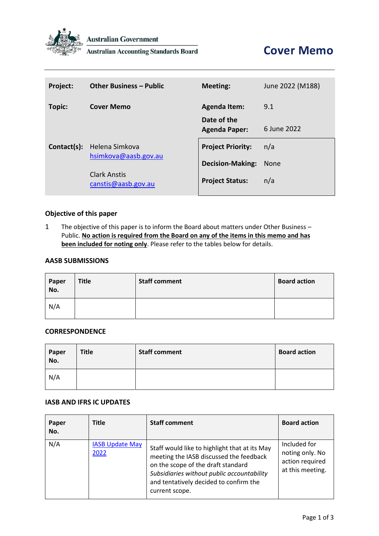

**Australian Government** 

**Australian Accounting Standards Board** 

| Project:    | <b>Other Business - Public</b>             | <b>Meeting:</b>                     | June 2022 (M188) |
|-------------|--------------------------------------------|-------------------------------------|------------------|
| Topic:      | <b>Cover Memo</b>                          | <b>Agenda Item:</b>                 | 9.1              |
|             |                                            | Date of the<br><b>Agenda Paper:</b> | 6 June 2022      |
| Contact(s): | Helena Simkova                             | <b>Project Priority:</b>            | n/a              |
|             | hsimkova@aasb.gov.au                       | <b>Decision-Making:</b>             | <b>None</b>      |
|             | <b>Clark Anstis</b><br>canstis@aasb.gov.au | <b>Project Status:</b>              | n/a              |

### **Objective of this paper**

1 The objective of this paper is to inform the Board about matters under Other Business – Public. **No action is required from the Board on any of the items in this memo and has been included for noting only**. Please refer to the tables below for details.

## **AASB SUBMISSIONS**

| Paper<br>No. | <b>Title</b> | <b>Staff comment</b> | <b>Board action</b> |
|--------------|--------------|----------------------|---------------------|
| N/A          |              |                      |                     |

## **CORRESPONDENCE**

| Paper<br>No. | <b>Title</b> | <b>Staff comment</b> | <b>Board action</b> |
|--------------|--------------|----------------------|---------------------|
| N/A          |              |                      |                     |

#### **IASB AND IFRS IC UPDATES**

| Paper<br>No. | Title                          | <b>Staff comment</b>                                                                                                                                                                                                                     | <b>Board action</b>                                                    |
|--------------|--------------------------------|------------------------------------------------------------------------------------------------------------------------------------------------------------------------------------------------------------------------------------------|------------------------------------------------------------------------|
| N/A          | <b>IASB Update May</b><br>2022 | Staff would like to highlight that at its May<br>meeting the IASB discussed the feedback<br>on the scope of the draft standard<br>Subsidiaries without public accountability<br>and tentatively decided to confirm the<br>current scope. | Included for<br>noting only. No<br>action required<br>at this meeting. |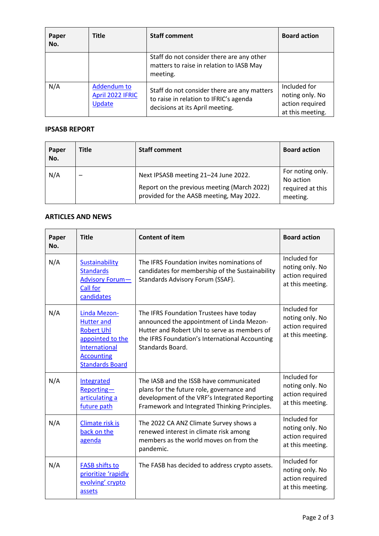| Paper<br>No. | Title                                     | <b>Staff comment</b>                                                                                                     | <b>Board action</b>                                                    |
|--------------|-------------------------------------------|--------------------------------------------------------------------------------------------------------------------------|------------------------------------------------------------------------|
|              |                                           | Staff do not consider there are any other<br>matters to raise in relation to IASB May<br>meeting.                        |                                                                        |
| N/A          | Addendum to<br>April 2022 IFRIC<br>Update | Staff do not consider there are any matters<br>to raise in relation to IFRIC's agenda<br>decisions at its April meeting. | Included for<br>noting only. No<br>action required<br>at this meeting. |

# **IPSASB REPORT**

| Paper<br>No. | <b>Title</b> | <b>Staff comment</b>                                                                                                            | <b>Board action</b>                                           |
|--------------|--------------|---------------------------------------------------------------------------------------------------------------------------------|---------------------------------------------------------------|
| N/A          |              | Next IPSASB meeting 21-24 June 2022.<br>Report on the previous meeting (March 2022)<br>provided for the AASB meeting, May 2022. | For noting only.<br>No action<br>required at this<br>meeting. |

### **ARTICLES AND NEWS**

| Paper<br>No. | <b>Title</b>                                                                                                                               | <b>Content of item</b>                                                                                                                                                                                     | <b>Board action</b>                                                    |
|--------------|--------------------------------------------------------------------------------------------------------------------------------------------|------------------------------------------------------------------------------------------------------------------------------------------------------------------------------------------------------------|------------------------------------------------------------------------|
| N/A          | <b>Sustainability</b><br><b>Standards</b><br><b>Advisory Forum-</b><br><b>Call for</b><br>candidates                                       | The IFRS Foundation invites nominations of<br>candidates for membership of the Sustainability<br>Standards Advisory Forum (SSAF).                                                                          | Included for<br>noting only. No<br>action required<br>at this meeting. |
| N/A          | Linda Mezon-<br><b>Hutter and</b><br><b>Robert Uhl</b><br>appointed to the<br>International<br><b>Accounting</b><br><b>Standards Board</b> | The IFRS Foundation Trustees have today<br>announced the appointment of Linda Mezon-<br>Hutter and Robert Uhl to serve as members of<br>the IFRS Foundation's International Accounting<br>Standards Board. | Included for<br>noting only. No<br>action required<br>at this meeting. |
| N/A          | Integrated<br>Reporting-<br>articulating a<br>future path                                                                                  | The IASB and the ISSB have communicated<br>plans for the future role, governance and<br>development of the VRF's Integrated Reporting<br>Framework and Integrated Thinking Principles.                     | Included for<br>noting only. No<br>action required<br>at this meeting. |
| N/A          | Climate risk is<br>back on the<br>agenda                                                                                                   | The 2022 CA ANZ Climate Survey shows a<br>renewed interest in climate risk among<br>members as the world moves on from the<br>pandemic.                                                                    | Included for<br>noting only. No<br>action required<br>at this meeting. |
| N/A          | <b>FASB shifts to</b><br>prioritize 'rapidly<br>evolving' crypto<br>assets                                                                 | The FASB has decided to address crypto assets.                                                                                                                                                             | Included for<br>noting only. No<br>action required<br>at this meeting. |